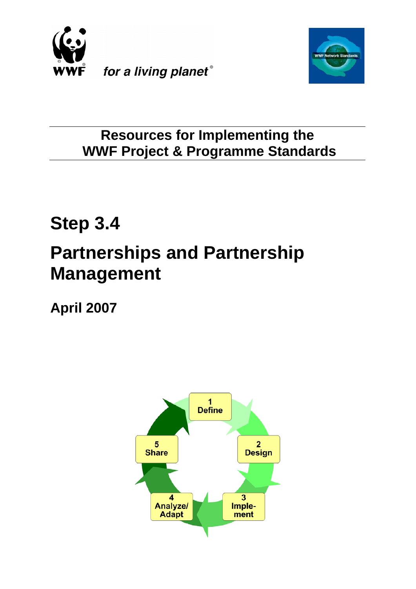



# **Resources for Implementing the WWF Project & Programme Standards**

# **Step 3.4 Partnerships and Partnership Management**

**April 2007**

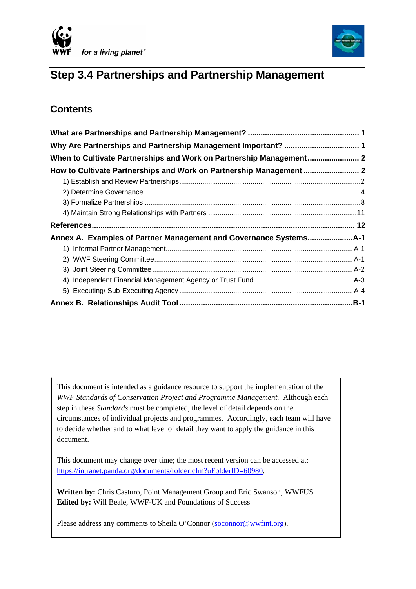



# **Step 3.4 Partnerships and Partnership Management**

# **Contents**

| How to Cultivate Partnerships and Work on Partnership Management |  |
|------------------------------------------------------------------|--|
|                                                                  |  |
|                                                                  |  |
|                                                                  |  |
|                                                                  |  |
|                                                                  |  |
|                                                                  |  |
|                                                                  |  |
|                                                                  |  |
|                                                                  |  |
|                                                                  |  |
|                                                                  |  |
|                                                                  |  |

This document is intended as a guidance resource to support the implementation of the *WWF Standards of Conservation Project and Programme Management.* Although each step in these *Standards* must be completed, the level of detail depends on the circumstances of individual projects and programmes. Accordingly, each team will have to decide whether and to what level of detail they want to apply the guidance in this document.

This document may change over time; the most recent version can be accessed at: <https://intranet.panda.org/documents/folder.cfm?uFolderID=60980>.

**Written by:** Chris Casturo, Point Management Group and Eric Swanson, WWFUS **Edited by:** Will Beale, WWF-UK and Foundations of Success

Please address any comments to Sheila O'Connor [\(soconnor@wwfint.org](mailto:soconnor@wwfint.org)).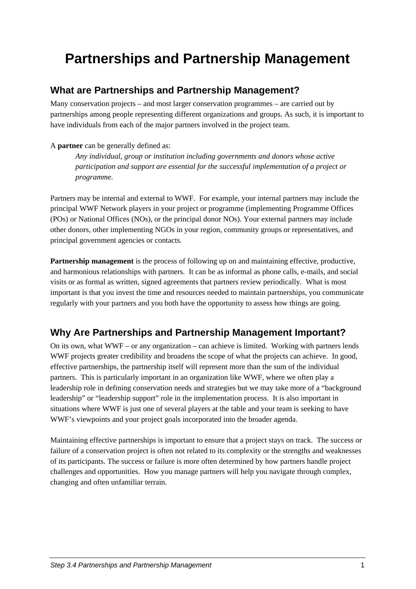# <span id="page-2-0"></span>**Partnerships and Partnership Management**

# **What are Partnerships and Partnership Management?**

Many conservation projects – and most larger conservation programmes – are carried out by partnerships among people representing different organizations and groups. As such, it is important to have individuals from each of the major partners involved in the project team.

#### A **partner** can be generally defined as:

*Any individual, group or institution including governments and donors whose active participation and support are essential for the successful implementation of a project or programme.* 

Partners may be internal and external to WWF. For example, your internal partners may include the principal WWF Network players in your project or programme (implementing Programme Offices (POs) or National Offices (NOs), or the principal donor NOs). Your external partners may include other donors, other implementing NGOs in your region, community groups or representatives, and principal government agencies or contacts.

**Partnership management** is the process of following up on and maintaining effective, productive, and harmonious relationships with partners. It can be as informal as phone calls, e-mails, and social visits or as formal as written, signed agreements that partners review periodically. What is most important is that you invest the time and resources needed to maintain partnerships, you communicate regularly with your partners and you both have the opportunity to assess how things are going.

# **Why Are Partnerships and Partnership Management Important?**

On its own, what  $WWF - or$  any organization – can achieve is limited. Working with partners lends WWF projects greater credibility and broadens the scope of what the projects can achieve. In good, effective partnerships, the partnership itself will represent more than the sum of the individual partners. This is particularly important in an organization like WWF, where we often play a leadership role in defining conservation needs and strategies but we may take more of a "background leadership" or "leadership support" role in the implementation process. It is also important in situations where WWF is just one of several players at the table and your team is seeking to have WWF's viewpoints and your project goals incorporated into the broader agenda.

Maintaining effective partnerships is important to ensure that a project stays on track. The success or failure of a conservation project is often not related to its complexity or the strengths and weaknesses of its participants. The success or failure is more often determined by how partners handle project challenges and opportunities. How you manage partners will help you navigate through complex, changing and often unfamiliar terrain.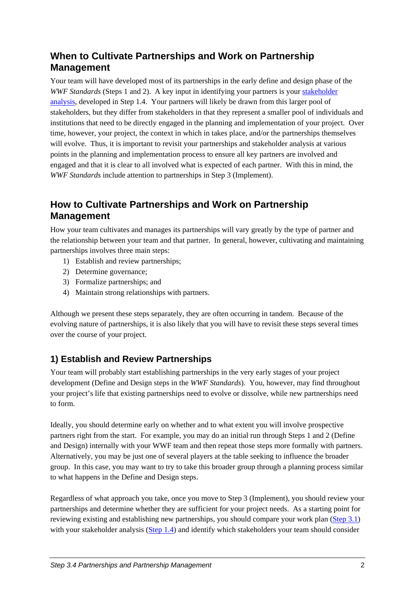# <span id="page-3-0"></span>**When to Cultivate Partnerships and Work on Partnership Management**

Your team will have developed most of its partnerships in the early define and design phase of the *WWF Standards* (Steps 1 and 2). A key input in identifying your partners is your stakeholder [analysis](https://intranet.panda.org/documents/document.cfm?uFolderID=60977&uDocID=66827), developed in Step 1.4. Your partners will likely be drawn from this larger pool of stakeholders, but they differ from stakeholders in that they represent a smaller pool of individuals and institutions that need to be directly engaged in the planning and implementation of your project. Over time, however, your project, the context in which in takes place, and/or the partnerships themselves will evolve. Thus, it is important to revisit your partnerships and stakeholder analysis at various points in the planning and implementation process to ensure all key partners are involved and engaged and that it is clear to all involved what is expected of each partner. With this in mind, the *WWF Standards* include attention to partnerships in Step 3 (Implement).

# **How to Cultivate Partnerships and Work on Partnership Management**

How your team cultivates and manages its partnerships will vary greatly by the type of partner and the relationship between your team and that partner. In general, however, cultivating and maintaining partnerships involves three main steps:

- 1) Establish and review partnerships;
- 2) Determine governance;
- 3) Formalize partnerships; and
- 4) Maintain strong relationships with partners.

Although we present these steps separately, they are often occurring in tandem. Because of the evolving nature of partnerships, it is also likely that you will have to revisit these steps several times over the course of your project.

# **1) Establish and Review Partnerships**

Your team will probably start establishing partnerships in the very early stages of your project development (Define and Design steps in the *WWF Standards*). You, however, may find throughout your project's life that existing partnerships need to evolve or dissolve, while new partnerships need to form.

Ideally, you should determine early on whether and to what extent you will involve prospective partners right from the start. For example, you may do an initial run through Steps 1 and 2 (Define and Design) internally with your WWF team and then repeat those steps more formally with partners. Alternatively, you may be just one of several players at the table seeking to influence the broader group. In this case, you may want to try to take this broader group through a planning process similar to what happens in the Define and Design steps.

Regardless of what approach you take, once you move to Step 3 (Implement), you should review your partnerships and determine whether they are sufficient for your project needs. As a starting point for reviewing existing and establishing new partnerships, you should compare your work plan [\(Step 3.1](https://intranet.panda.org/documents/folder.cfm?uFolderID=60981)) with your stakeholder analysis ([Step 1.4\)](https://intranet.panda.org/documents/folder.cfm?uFolderID=60977) and identify which stakeholders your team should consider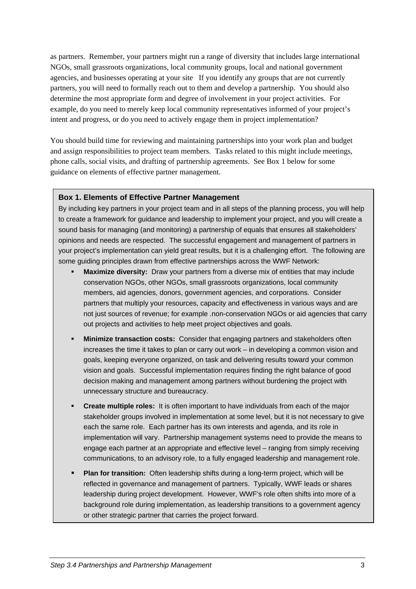as partners. Remember, your partners might run a range of diversity that includes large international NGOs, small grassroots organizations, local community groups, local and national government agencies, and businesses operating at your site If you identify any groups that are not currently partners, you will need to formally reach out to them and develop a partnership. You should also determine the most appropriate form and degree of involvement in your project activities. For example, do you need to merely keep local community representatives informed of your project's intent and progress, or do you need to actively engage them in project implementation?

You should build time for reviewing and maintaining partnerships into your work plan and budget and assign responsibilities to project team members. Tasks related to this might include meetings, phone calls, social visits, and drafting of partnership agreements. See Box 1 below for some guidance on elements of effective partner management.

#### **Box 1. Elements of Effective Partner Management**

By including key partners in your project team and in all steps of the planning process, you will help to create a framework for guidance and leadership to implement your project, and you will create a sound basis for managing (and monitoring) a partnership of equals that ensures all stakeholders' opinions and needs are respected. The successful engagement and management of partners in your project's implementation can yield great results, but it is a challenging effort. The following are some guiding principles drawn from effective partnerships across the WWF Network:

- **Maximize diversity:** Draw your partners from a diverse mix of entities that may include conservation NGOs, other NGOs, small grassroots organizations, local community members, aid agencies, donors, government agencies, and corporations. Consider partners that multiply your resources, capacity and effectiveness in various ways and are not just sources of revenue; for example .non-conservation NGOs or aid agencies that carry out projects and activities to help meet project objectives and goals.
- **Minimize transaction costs:** Consider that engaging partners and stakeholders often increases the time it takes to plan or carry out work – in developing a common vision and goals, keeping everyone organized, on task and delivering results toward your common vision and goals. Successful implementation requires finding the right balance of good decision making and management among partners without burdening the project with unnecessary structure and bureaucracy.
- **Create multiple roles:** It is often important to have individuals from each of the major stakeholder groups involved in implementation at some level, but it is not necessary to give each the same role. Each partner has its own interests and agenda, and its role in implementation will vary. Partnership management systems need to provide the means to engage each partner at an appropriate and effective level – ranging from simply receiving communications, to an advisory role, to a fully engaged leadership and management role.
- **Plan for transition:** Often leadership shifts during a long-term project, which will be reflected in governance and management of partners. Typically, WWF leads or shares leadership during project development. However, WWF's role often shifts into more of a background role during implementation, as leadership transitions to a government agency or other strategic partner that carries the project forward.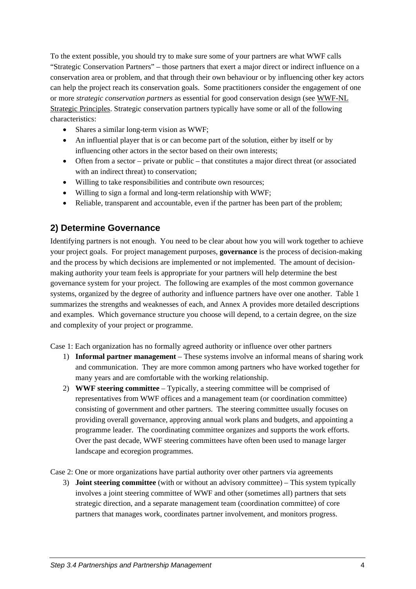<span id="page-5-0"></span>To the extent possible, you should try to make sure some of your partners are what WWF calls "Strategic Conservation Partners" – those partners that exert a major direct or indirect influence on a conservation area or problem, and that through their own behaviour or by influencing other key actors can help the project reach its conservation goals. Some practitioners consider the engagement of one or more *strategic conservation partners* as essential for good conservation design (see [WWF-NL](https://intranet.panda.org/documents/document.cfm?uFolderID=60978&uDocID=101568)  [Strategic Principles.](https://intranet.panda.org/documents/document.cfm?uFolderID=60978&uDocID=101568) Strategic conservation partners typically have some or all of the following characteristics:

- Shares a similar long-term vision as WWF;
- An influential player that is or can become part of the solution, either by itself or by influencing other actors in the sector based on their own interests;
- Often from a sector private or public that constitutes a major direct threat (or associated with an indirect threat) to conservation;
- Willing to take responsibilities and contribute own resources;
- Willing to sign a formal and long-term relationship with WWF;
- Reliable, transparent and accountable, even if the partner has been part of the problem;

## **2) Determine Governance**

Identifying partners is not enough. You need to be clear about how you will work together to achieve your project goals. For project management purposes, **governance** is the process of decision-making and the process by which decisions are implemented or not implemented. The amount of decisionmaking authority your team feels is appropriate for your partners will help determine the best governance system for your project. The following are examples of the most common governance systems, organized by the degree of authority and influence partners have over one another. [Table 1](#page-6-0) summarizes the strengths and weaknesses of each, and Annex A provides more detailed descriptions and examples. Which governance structure you choose will depend, to a certain degree, on the size and complexity of your project or programme.

Case 1: Each organization has no formally agreed authority or influence over other partners

- 1) **Informal partner management** These systems involve an informal means of sharing work and communication. They are more common among partners who have worked together for many years and are comfortable with the working relationship.
- 2) **WWF steering committee**  Typically, a steering committee will be comprised of representatives from WWF offices and a management team (or coordination committee) consisting of government and other partners. The steering committee usually focuses on providing overall governance, approving annual work plans and budgets, and appointing a programme leader. The coordinating committee organizes and supports the work efforts. Over the past decade, WWF steering committees have often been used to manage larger landscape and ecoregion programmes.

Case 2: One or more organizations have partial authority over other partners via agreements

3) **Joint steering committee** (with or without an advisory committee) – This system typically involves a joint steering committee of WWF and other (sometimes all) partners that sets strategic direction, and a separate management team (coordination committee) of core partners that manages work, coordinates partner involvement, and monitors progress.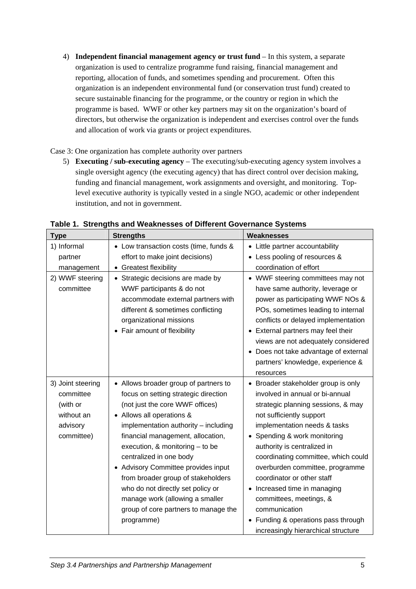4) **Independent financial management agency or trust fund** – In this system, a separate organization is used to centralize programme fund raising, financial management and reporting, allocation of funds, and sometimes spending and procurement. Often this organization is an independent environmental fund (or conservation trust fund) created to secure sustainable financing for the programme, or the country or region in which the programme is based. WWF or other key partners may sit on the organization's board of directors, but otherwise the organization is independent and exercises control over the funds and allocation of work via grants or project expenditures.

Case 3: One organization has complete authority over partners

5) **Executing / sub-executing agency** – The executing/sub-executing agency system involves a single oversight agency (the executing agency) that has direct control over decision making, funding and financial management, work assignments and oversight, and monitoring. Toplevel executive authority is typically vested in a single NGO, academic or other independent institution, and not in government.

<span id="page-6-0"></span>

| <b>Type</b>                                                                        | <b>Strengths</b>                                                                                                                                                                                                                                                                                                                                                                                                                                                                                        | Weaknesses                                                                                                                                                                                                                                                                                                                                                                                                                                                                                                |
|------------------------------------------------------------------------------------|---------------------------------------------------------------------------------------------------------------------------------------------------------------------------------------------------------------------------------------------------------------------------------------------------------------------------------------------------------------------------------------------------------------------------------------------------------------------------------------------------------|-----------------------------------------------------------------------------------------------------------------------------------------------------------------------------------------------------------------------------------------------------------------------------------------------------------------------------------------------------------------------------------------------------------------------------------------------------------------------------------------------------------|
| 1) Informal<br>partner<br>management                                               | • Low transaction costs (time, funds &<br>effort to make joint decisions)<br>• Greatest flexibility                                                                                                                                                                                                                                                                                                                                                                                                     | • Little partner accountability<br>• Less pooling of resources &<br>coordination of effort                                                                                                                                                                                                                                                                                                                                                                                                                |
| 2) WWF steering<br>committee                                                       | • Strategic decisions are made by<br>WWF participants & do not<br>accommodate external partners with<br>different & sometimes conflicting<br>organizational missions<br>Fair amount of flexibility                                                                                                                                                                                                                                                                                                      | • WWF steering committees may not<br>have same authority, leverage or<br>power as participating WWF NOs &<br>POs, sometimes leading to internal<br>conflicts or delayed implementation<br>• External partners may feel their<br>views are not adequately considered<br>• Does not take advantage of external<br>partners' knowledge, experience &<br>resources                                                                                                                                            |
| 3) Joint steering<br>committee<br>(with or<br>without an<br>advisory<br>committee) | • Allows broader group of partners to<br>focus on setting strategic direction<br>(not just the core WWF offices)<br>• Allows all operations &<br>implementation authority - including<br>financial management, allocation,<br>execution, $&$ monitoring $-$ to be<br>centralized in one body<br>• Advisory Committee provides input<br>from broader group of stakeholders<br>who do not directly set policy or<br>manage work (allowing a smaller<br>group of core partners to manage the<br>programme) | • Broader stakeholder group is only<br>involved in annual or bi-annual<br>strategic planning sessions, & may<br>not sufficiently support<br>implementation needs & tasks<br>• Spending & work monitoring<br>authority is centralized in<br>coordinating committee, which could<br>overburden committee, programme<br>coordinator or other staff<br>• Increased time in managing<br>committees, meetings, &<br>communication<br>• Funding & operations pass through<br>increasingly hierarchical structure |

**Table 1. Strengths and Weaknesses of Different Governance Systems**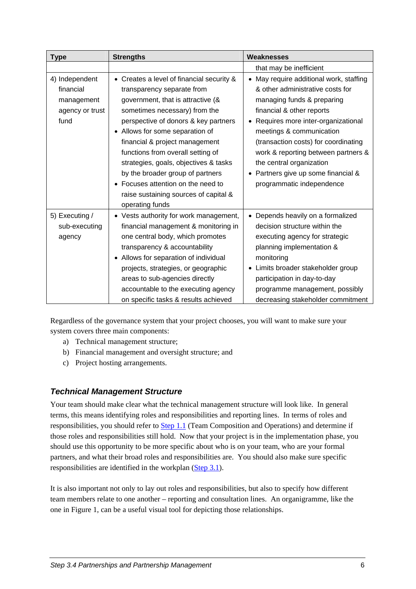| <b>Type</b>                                                          | <b>Strengths</b>                                                                                                                                                                                                                                                                                                                                                                                                                                                                        | <b>Weaknesses</b>                                                                                                                                                                                                                                                                                                                                                                         |
|----------------------------------------------------------------------|-----------------------------------------------------------------------------------------------------------------------------------------------------------------------------------------------------------------------------------------------------------------------------------------------------------------------------------------------------------------------------------------------------------------------------------------------------------------------------------------|-------------------------------------------------------------------------------------------------------------------------------------------------------------------------------------------------------------------------------------------------------------------------------------------------------------------------------------------------------------------------------------------|
|                                                                      |                                                                                                                                                                                                                                                                                                                                                                                                                                                                                         | that may be inefficient                                                                                                                                                                                                                                                                                                                                                                   |
| 4) Independent<br>financial<br>management<br>agency or trust<br>fund | Creates a level of financial security &<br>$\bullet$<br>transparency separate from<br>government, that is attractive (&<br>sometimes necessary) from the<br>perspective of donors & key partners<br>• Allows for some separation of<br>financial & project management<br>functions from overall setting of<br>strategies, goals, objectives & tasks<br>by the broader group of partners<br>Focuses attention on the need to<br>raise sustaining sources of capital &<br>operating funds | • May require additional work, staffing<br>& other administrative costs for<br>managing funds & preparing<br>financial & other reports<br>• Requires more inter-organizational<br>meetings & communication<br>(transaction costs) for coordinating<br>work & reporting between partners &<br>the central organization<br>• Partners give up some financial &<br>programmatic independence |
| 5) Executing /<br>sub-executing<br>agency                            | • Vests authority for work management,<br>financial management & monitoring in<br>one central body, which promotes<br>transparency & accountability<br>• Allows for separation of individual<br>projects, strategies, or geographic<br>areas to sub-agencies directly<br>accountable to the executing agency<br>on specific tasks & results achieved                                                                                                                                    | Depends heavily on a formalized<br>$\bullet$<br>decision structure within the<br>executing agency for strategic<br>planning implementation &<br>monitoring<br>• Limits broader stakeholder group<br>participation in day-to-day<br>programme management, possibly<br>decreasing stakeholder commitment                                                                                    |

Regardless of the governance system that your project chooses, you will want to make sure your system covers three main components:

- a) Technical management structure;
- b) Financial management and oversight structure; and
- c) Project hosting arrangements.

#### *Technical Management Structure*

Your team should make clear what the technical management structure will look like. In general terms, this means identifying roles and responsibilities and reporting lines. In terms of roles and responsibilities, you should refer to [Step 1.1](https://intranet.panda.org/documents/folder.cfm?uFolderID=60970) (Team Composition and Operations) and determine if those roles and responsibilities still hold. Now that your project is in the implementation phase, you should use this opportunity to be more specific about who is on your team, who are your formal partners, and what their broad roles and responsibilities are. You should also make sure specific responsibilities are identified in the workplan ([Step 3.1\)](https://intranet.panda.org/documents/folder.cfm?uFolderID=60981).

It is also important not only to lay out roles and responsibilities, but also to specify how different team members relate to one another – reporting and consultation lines. An organigramme, like the one in [Figure 1,](#page-8-0) can be a useful visual tool for depicting those relationships.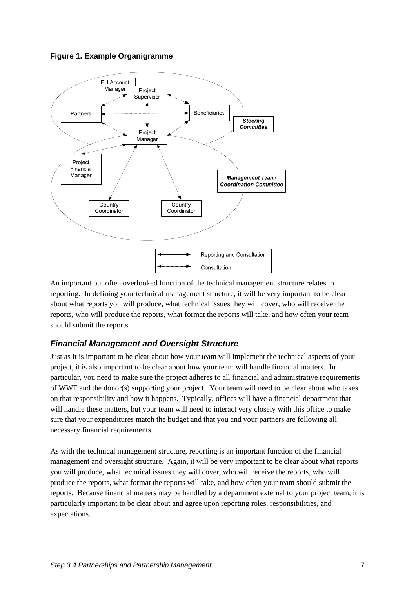#### **Figure 1. Example Organigramme**



An important but often overlooked function of the technical management structure relates to reporting. In defining your technical management structure, it will be very important to be clear about what reports you will produce, what technical issues they will cover, who will receive the reports, who will produce the reports, what format the reports will take, and how often your team should submit the reports.

#### *Financial Management and Oversight Structure*

Just as it is important to be clear about how your team will implement the technical aspects of your project, it is also important to be clear about how your team will handle financial matters. In particular, you need to make sure the project adheres to all financial and administrative requirements of WWF and the donor(s) supporting your project. Your team will need to be clear about who takes on that responsibility and how it happens. Typically, offices will have a financial department that will handle these matters, but your team will need to interact very closely with this office to make sure that your expenditures match the budget and that you and your partners are following all necessary financial requirements.

<span id="page-8-0"></span>As with the technical management structure, reporting is an important function of the financial management and oversight structure. Again, it will be very important to be clear about what reports you will produce, what technical issues they will cover, who will receive the reports, who will produce the reports, what format the reports will take, and how often your team should submit the reports. Because financial matters may be handled by a department external to your project team, it is particularly important to be clear about and agree upon reporting roles, responsibilities, and expectations.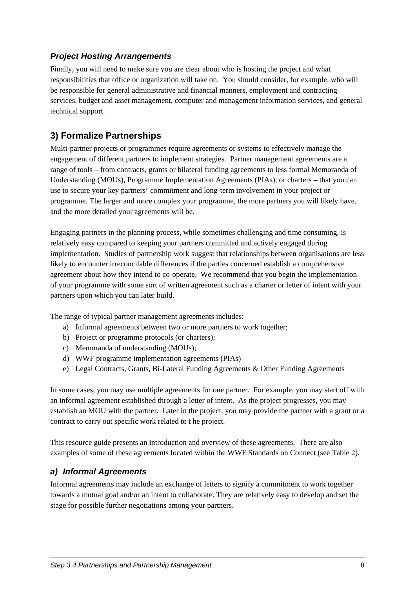#### <span id="page-9-0"></span>*Project Hosting Arrangements*

Finally, you will need to make sure you are clear about who is hosting the project and what responsibilities that office or organization will take on. You should consider, for example, who will be responsible for general administrative and financial manners, employment and contracting services, budget and asset management, computer and management information services, and general technical support.

# **3) Formalize Partnerships**

Multi-partner projects or programmes require agreements or systems to effectively manage the engagement of different partners to implement strategies. Partner management agreements are a range of tools – from contracts, grants or bilateral funding agreements to less formal Memoranda of Understanding (MOUs), [Programme Implementation Agreements](https://intranet.panda.org/documents/folder.cfm?uFolderID=56360) (PIAs), or charters – that you can use to secure your key partners' commitment and long-term involvement in your project or programme. The larger and more complex your programme, the more partners you will likely have, and the more detailed your agreements will be.

Engaging partners in the planning process, while sometimes challenging and time consuming, is relatively easy compared to keeping your partners committed and actively engaged during implementation. Studies of partnership work suggest that relationships between organisations are less likely to encounter irreconcilable differences if the parties concerned establish a comprehensive agreement about how they intend to co-operate. We recommend that you begin the implementation of your programme with some sort of written agreement such as a charter or letter of intent with your partners upon which you can later build.

The range of typical partner management agreements includes:

- a) Informal agreements between two or more partners to work together;
- b) Project or programme protocols (or charters);
- c) Memoranda of understanding (MOUs);
- d) WWF programme implementation agreements (PIAs)
- e) Legal Contracts, Grants, Bi-Lateral Funding Agreements & Other Funding Agreements

In some cases, you may use multiple agreements for one partner. For example, you may start off with an informal agreement established through a letter of intent. As the project progresses, you may establish an MOU with the partner. Later in the project, you may provide the partner with a grant or a contract to carry out specific work related to t he project.

This resource guide presents an introduction and overview of these agreements. There are also examples of some of these agreements located within the WWF Standards on Connect (see [Table 2\)](#page-12-1).

#### *a) Informal Agreements*

Informal agreements may include an exchange of letters to signify a commitment to work together towards a mutual goal and/or an intent to collaborate. They are relatively easy to develop and set the stage for possible further negotiations among your partners.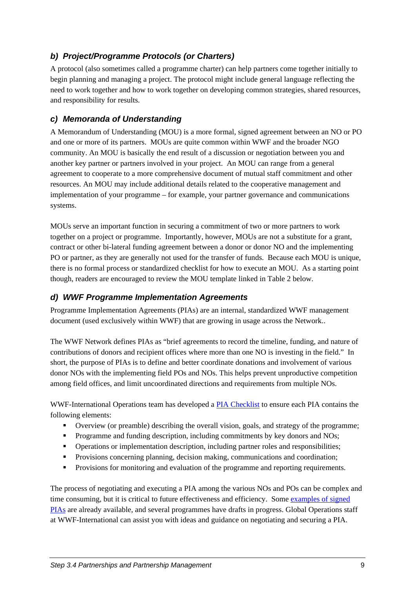## *b) Project/Programme Protocols (or Charters)*

A protocol (also sometimes called a programme charter) can help partners come together initially to begin planning and managing a project. The protocol might include general language reflecting the need to work together and how to work together on developing common strategies, shared resources, and responsibility for results.

#### *c) Memoranda of Understanding*

A Memorandum of Understanding (MOU) is a more formal, signed agreement between an NO or PO and one or more of its partners. MOUs are quite common within WWF and the broader NGO community. An MOU is basically the end result of a discussion or negotiation between you and another key partner or partners involved in your project. An MOU can range from a general agreement to cooperate to a more comprehensive document of mutual staff commitment and other resources. An MOU may include additional details related to the cooperative management and implementation of your programme – for example, your partner governance and communications systems.

MOUs serve an important function in securing a commitment of two or more partners to work together on a project or programme. Importantly, however, MOUs are not a substitute for a grant, contract or other bi-lateral funding agreement between a donor or donor NO and the implementing PO or partner, as they are generally not used for the transfer of funds. Because each MOU is unique, there is no formal process or standardized checklist for how to execute an MOU. As a starting point though, readers are encouraged to review the MOU template linked in [Table 2](#page-12-1) below.

#### *d) WWF Programme Implementation Agreements*

Programme Implementation Agreements (PIAs) are an internal, standardized WWF management document (used exclusively within WWF) that are growing in usage across the Network..

The WWF Network defines PIAs as "brief agreements to record the timeline, funding, and nature of contributions of donors and recipient offices where more than one NO is investing in the field." In short, the purpose of PIAs is to define and better coordinate donations and involvement of various donor NOs with the implementing field POs and NOs. This helps prevent unproductive competition among field offices, and limit uncoordinated directions and requirements from multiple NOs.

WWF-International Operations team has developed a [PIA Checklist](https://intranet.panda.org/documents/folder.cfm?uFolderID=56361) to ensure each PIA contains the following elements:

- Overview (or preamble) describing the overall vision, goals, and strategy of the programme;
- **Programme and funding description, including commitments by key donors and NOs;**
- Operations or implementation description, including partner roles and responsibilities;
- Provisions concerning planning, decision making, communications and coordination;
- **Provisions for monitoring and evaluation of the programme and reporting requirements.**

The process of negotiating and executing a PIA among the various NOs and POs can be complex and time consuming, but it is critical to future effectiveness and efficiency. Some [examples of signed](https://intranet.panda.org/documents/folder.cfm?uFolderID=56362)  [PIAs](https://intranet.panda.org/documents/folder.cfm?uFolderID=56362) are already available, and several programmes have drafts in progress. Global Operations staff at WWF-International can assist you with ideas and guidance on negotiating and securing a PIA.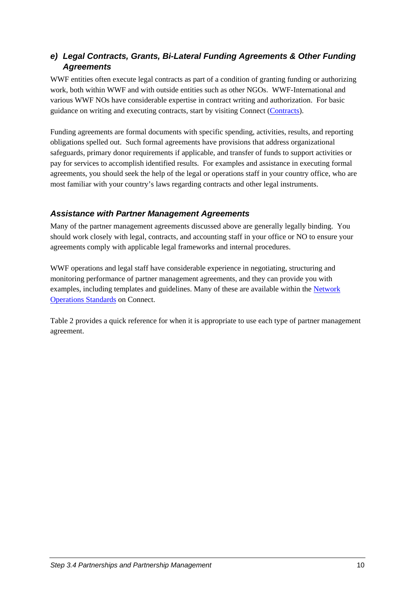#### *e) Legal Contracts, Grants, Bi-Lateral Funding Agreements & Other Funding Agreements*

WWF entities often execute legal contracts as part of a condition of granting funding or authorizing work, both within WWF and with outside entities such as other NGOs. WWF-International and various WWF NOs have considerable expertise in contract writing and authorization. For basic guidance on writing and executing contracts, start by visiting Connect [\(Contracts\)](https://intranet.panda.org/documents/folder.cfm?uFolderID=55182).

Funding agreements are formal documents with specific spending, activities, results, and reporting obligations spelled out. Such formal agreements have provisions that address organizational safeguards, primary donor requirements if applicable, and transfer of funds to support activities or pay for services to accomplish identified results. For examples and assistance in executing formal agreements, you should seek the help of the legal or operations staff in your country office, who are most familiar with your country's laws regarding contracts and other legal instruments.

#### *Assistance with Partner Management Agreements*

Many of the partner management agreements discussed above are generally legally binding. You should work closely with legal, contracts, and accounting staff in your office or NO to ensure your agreements comply with applicable legal frameworks and internal procedures.

WWF operations and legal staff have considerable experience in negotiating, structuring and monitoring performance of partner management agreements, and they can provide you with examples, including templates and guidelines. Many of these are available within the [Network](https://intranet.panda.org/documents/folder.cfm?uFolderID=12480)  [Operations Standards](https://intranet.panda.org/documents/folder.cfm?uFolderID=12480) on Connect.

[Table 2](#page-12-1) provides a quick reference for when it is appropriate to use each type of partner management agreement.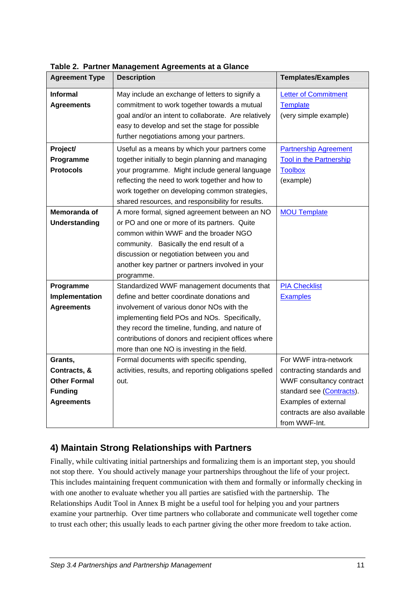<span id="page-12-1"></span>

| <b>Agreement Type</b> | <b>Description</b>                                     | <b>Templates/Examples</b>      |
|-----------------------|--------------------------------------------------------|--------------------------------|
| <b>Informal</b>       | May include an exchange of letters to signify a        | <b>Letter of Commitment</b>    |
| <b>Agreements</b>     | commitment to work together towards a mutual           | <b>Template</b>                |
|                       | goal and/or an intent to collaborate. Are relatively   | (very simple example)          |
|                       | easy to develop and set the stage for possible         |                                |
|                       | further negotiations among your partners.              |                                |
| Project/              | Useful as a means by which your partners come          | <b>Partnership Agreement</b>   |
| Programme             | together initially to begin planning and managing      | <b>Tool in the Partnership</b> |
| <b>Protocols</b>      | your programme. Might include general language         | <b>Toolbox</b>                 |
|                       | reflecting the need to work together and how to        | (example)                      |
|                       | work together on developing common strategies,         |                                |
|                       | shared resources, and responsibility for results.      |                                |
| Memoranda of          | A more formal, signed agreement between an NO          | <b>MOU Template</b>            |
| <b>Understanding</b>  | or PO and one or more of its partners. Quite           |                                |
|                       | common within WWF and the broader NGO                  |                                |
|                       | community. Basically the end result of a               |                                |
|                       | discussion or negotiation between you and              |                                |
|                       | another key partner or partners involved in your       |                                |
|                       | programme.                                             |                                |
| Programme             | Standardized WWF management documents that             | <b>PIA Checklist</b>           |
| Implementation        | define and better coordinate donations and             | <b>Examples</b>                |
| <b>Agreements</b>     | involvement of various donor NOs with the              |                                |
|                       | implementing field POs and NOs. Specifically,          |                                |
|                       | they record the timeline, funding, and nature of       |                                |
|                       | contributions of donors and recipient offices where    |                                |
|                       | more than one NO is investing in the field.            |                                |
| Grants,               | Formal documents with specific spending,               | For WWF intra-network          |
| Contracts, &          | activities, results, and reporting obligations spelled | contracting standards and      |
| <b>Other Formal</b>   | out.                                                   | WWF consultancy contract       |
| <b>Funding</b>        |                                                        | standard see (Contracts).      |
| <b>Agreements</b>     |                                                        | Examples of external           |
|                       |                                                        | contracts are also available   |
|                       |                                                        | from WWF-Int.                  |

<span id="page-12-0"></span>**Table 2. Partner Management Agreements at a Glance** 

# **4) Maintain Strong Relationships with Partners**

Finally, while cultivating initial partnerships and formalizing them is an important step, you should not stop there. You should actively manage your partnerships throughout the life of your project. This includes maintaining frequent communication with them and formally or informally checking in with one another to evaluate whether you all parties are satisfied with the partnership. The Relationships Audit Tool in Annex B might be a useful tool for helping you and your partners examine your partnerhip. Over time partners who collaborate and communicate well together come to trust each other; this usually leads to each partner giving the other more freedom to take action.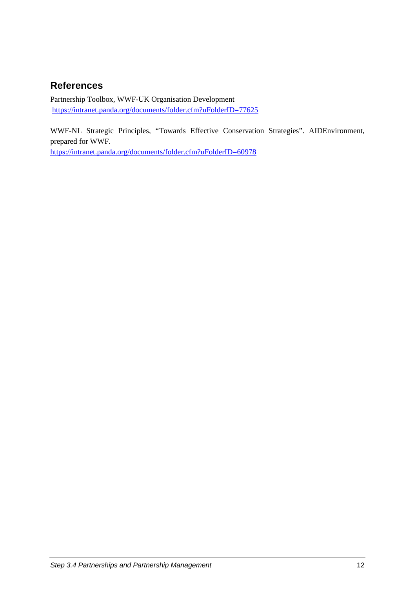# <span id="page-13-0"></span>**References**

Partnership Toolbox, WWF-UK Organisation Development [https://intranet.panda.org/documents/folder.cfm?uFolderID=77625](http://www.wwflearning.org.uk/localmatters) 

WWF-NL Strategic Principles, "Towards Effective Conservation Strategies". AIDEnvironment, prepared for WWF.

<https://intranet.panda.org/documents/folder.cfm?uFolderID=60978>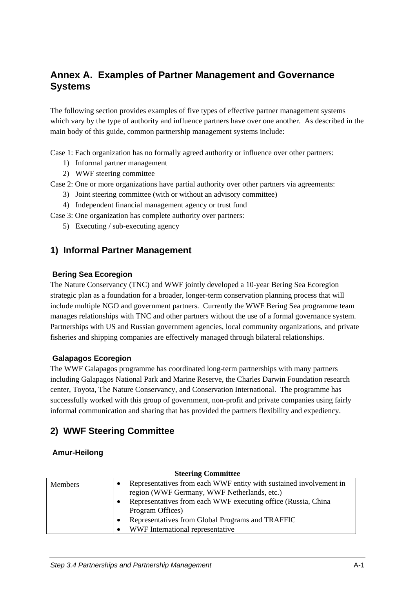# <span id="page-14-0"></span>**Annex A. Examples of Partner Management and Governance Systems**

The following section provides examples of five types of effective partner management systems which vary by the type of authority and influence partners have over one another. As described in the main body of this guide, common partnership management systems include:

Case 1: Each organization has no formally agreed authority or influence over other partners:

- 1) Informal partner management
- 2) WWF steering committee

Case 2: One or more organizations have partial authority over other partners via agreements:

- 3) Joint steering committee (with or without an advisory committee)
- 4) Independent financial management agency or trust fund

Case 3: One organization has complete authority over partners:

5) Executing / sub-executing agency

#### **1) Informal Partner Management**

#### **Bering Sea Ecoregion**

The Nature Conservancy (TNC) and WWF jointly developed a 10-year Bering Sea Ecoregion strategic plan as a foundation for a broader, longer-term conservation planning process that will include multiple NGO and government partners. Currently the WWF Bering Sea programme team manages relationships with TNC and other partners without the use of a formal governance system. Partnerships with US and Russian government agencies, local community organizations, and private fisheries and shipping companies are effectively managed through bilateral relationships.

#### **Galapagos Ecoregion**

The WWF Galapagos programme has coordinated long-term partnerships with many partners including Galapagos National Park and Marine Reserve, the Charles Darwin Foundation research center, Toyota, The Nature Conservancy, and Conservation International. The programme has successfully worked with this group of government, non-profit and private companies using fairly informal communication and sharing that has provided the partners flexibility and expediency.

#### **2) WWF Steering Committee**

#### **Amur-Heilong**

| <b>Steering Committee</b> |                                                                                                                                                                                                             |
|---------------------------|-------------------------------------------------------------------------------------------------------------------------------------------------------------------------------------------------------------|
| <b>Members</b>            | Representatives from each WWF entity with sustained involvement in<br>region (WWF Germany, WWF Netherlands, etc.)<br>Representatives from each WWF executing office (Russia, China<br>٠<br>Program Offices) |
|                           | Representatives from Global Programs and TRAFFIC<br>٠<br>WWF International representative                                                                                                                   |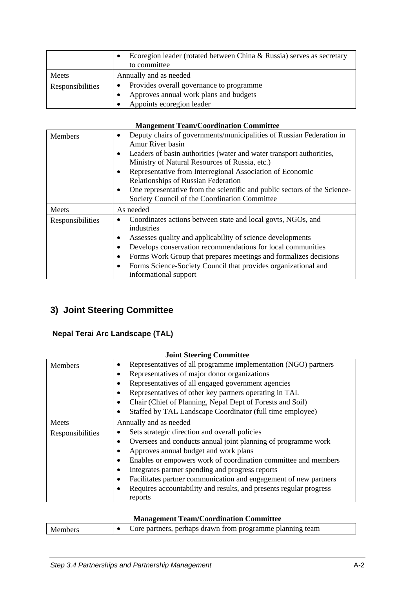<span id="page-15-0"></span>

|                  | Ecoregion leader (rotated between China $\&$ Russia) serves as secretary<br>to committee |
|------------------|------------------------------------------------------------------------------------------|
| Meets            | Annually and as needed                                                                   |
| Responsibilities | Provides overall governance to programme                                                 |
|                  | Approves annual work plans and budgets                                                   |
|                  | Appoints ecoregion leader                                                                |

| <b>Mangement Team/Coordination Committee</b> |
|----------------------------------------------|
|----------------------------------------------|

| Members          | Deputy chairs of governments/municipalities of Russian Federation in<br>$\bullet$<br>Amur River basin<br>Leaders of basin authorities (water and water transport authorities,<br>٠<br>Ministry of Natural Resources of Russia, etc.)<br>Representative from Interregional Association of Economic<br>$\bullet$<br>Relationships of Russian Federation                                                 |
|------------------|-------------------------------------------------------------------------------------------------------------------------------------------------------------------------------------------------------------------------------------------------------------------------------------------------------------------------------------------------------------------------------------------------------|
|                  | One representative from the scientific and public sectors of the Science-<br>٠<br>Society Council of the Coordination Committee                                                                                                                                                                                                                                                                       |
| Meets            | As needed                                                                                                                                                                                                                                                                                                                                                                                             |
| Responsibilities | Coordinates actions between state and local govts, NGOs, and<br>٠<br>industries<br>Assesses quality and applicability of science developments<br>Develops conservation recommendations for local communities<br>$\bullet$<br>Forms Work Group that prepares meetings and formalizes decisions<br>$\bullet$<br>Forms Science-Society Council that provides organizational and<br>informational support |

# **3) Joint Steering Committee**

#### **Nepal Terai Arc Landscape (TAL)**

| <b>Joint Steering Committee</b> |                                                                                 |  |
|---------------------------------|---------------------------------------------------------------------------------|--|
| Members                         | Representatives of all programme implementation (NGO) partners<br>$\bullet$     |  |
|                                 | Representatives of major donor organizations<br>٠                               |  |
|                                 | Representatives of all engaged government agencies<br>٠                         |  |
|                                 | Representatives of other key partners operating in TAL<br>$\bullet$             |  |
|                                 | Chair (Chief of Planning, Nepal Dept of Forests and Soil)<br>٠                  |  |
|                                 | Staffed by TAL Landscape Coordinator (full time employee)<br>٠                  |  |
| Meets                           | Annually and as needed                                                          |  |
| Responsibilities                | Sets strategic direction and overall policies<br>$\bullet$                      |  |
|                                 | Oversees and conducts annual joint planning of programme work<br>٠              |  |
|                                 | Approves annual budget and work plans                                           |  |
|                                 | Enables or empowers work of coordination committee and members<br>٠             |  |
|                                 | Integrates partner spending and progress reports<br>٠                           |  |
|                                 | Facilitates partner communication and engagement of new partners                |  |
|                                 | Requires accountability and results, and presents regular progress<br>$\bullet$ |  |
|                                 | reports                                                                         |  |

#### **Management Team/Coordination Committee**

| Members | $\bullet$ Core partners, perhaps drawn from programme planning team |
|---------|---------------------------------------------------------------------|
|         |                                                                     |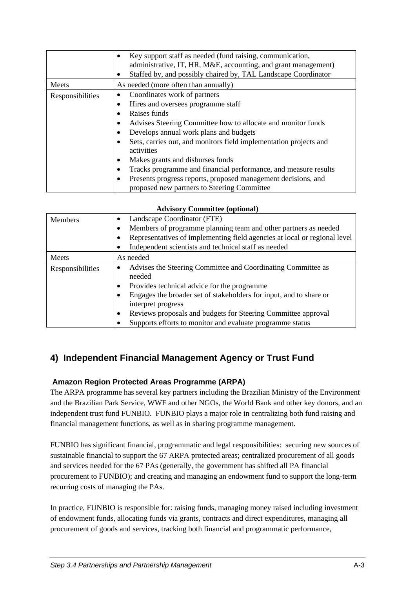<span id="page-16-0"></span>

|                  | Key support staff as needed (fund raising, communication,<br>$\bullet$<br>administrative, IT, HR, M&E, accounting, and grant management)<br>Staffed by, and possibly chaired by, TAL Landscape Coordinator<br>٠ |
|------------------|-----------------------------------------------------------------------------------------------------------------------------------------------------------------------------------------------------------------|
| Meets            | As needed (more often than annually)                                                                                                                                                                            |
| Responsibilities | Coordinates work of partners<br>٠                                                                                                                                                                               |
|                  | Hires and oversees programme staff<br>٠                                                                                                                                                                         |
|                  | Raises funds                                                                                                                                                                                                    |
|                  | Advises Steering Committee how to allocate and monitor funds<br>٠                                                                                                                                               |
|                  | Develops annual work plans and budgets<br>٠                                                                                                                                                                     |
|                  | Sets, carries out, and monitors field implementation projects and<br>٠<br>activities                                                                                                                            |
|                  | Makes grants and disburses funds<br>٠                                                                                                                                                                           |
|                  | Tracks programme and financial performance, and measure results<br>٠                                                                                                                                            |
|                  | Presents progress reports, proposed management decisions, and<br>٠<br>proposed new partners to Steering Committee                                                                                               |

#### **Advisory Committee (optional)**

| <b>Members</b>   | Landscape Coordinator (FTE)<br>٠                                                              |
|------------------|-----------------------------------------------------------------------------------------------|
|                  | Members of programme planning team and other partners as needed<br>$\bullet$                  |
|                  | Representatives of implementing field agencies at local or regional level<br>٠                |
|                  | Independent scientists and technical staff as needed<br>٠                                     |
| Meets            | As needed                                                                                     |
| Responsibilities | Advises the Steering Committee and Coordinating Committee as<br>٠<br>needed                   |
|                  | Provides technical advice for the programme<br>$\bullet$                                      |
|                  | Engages the broader set of stakeholders for input, and to share or<br>٠<br>interpret progress |
|                  | Reviews proposals and budgets for Steering Committee approval<br>٠                            |
|                  | Supports efforts to monitor and evaluate programme status                                     |

# **4) Independent Financial Management Agency or Trust Fund**

#### **Amazon Region Protected Areas Programme (ARPA)**

The ARPA programme has several key partners including the Brazilian Ministry of the Environment and the Brazilian Park Service, WWF and other NGOs, the World Bank and other key donors, and an independent trust fund FUNBIO. FUNBIO plays a major role in centralizing both fund raising and financial management functions, as well as in sharing programme management.

FUNBIO has significant financial, programmatic and legal responsibilities: securing new sources of sustainable financial to support the 67 ARPA protected areas; centralized procurement of all goods and services needed for the 67 PAs (generally, the government has shifted all PA financial procurement to FUNBIO); and creating and managing an endowment fund to support the long-term recurring costs of managing the PAs.

In practice, FUNBIO is responsible for: raising funds, managing money raised including investment of endowment funds, allocating funds via grants, contracts and direct expenditures, managing all procurement of goods and services, tracking both financial and programmatic performance,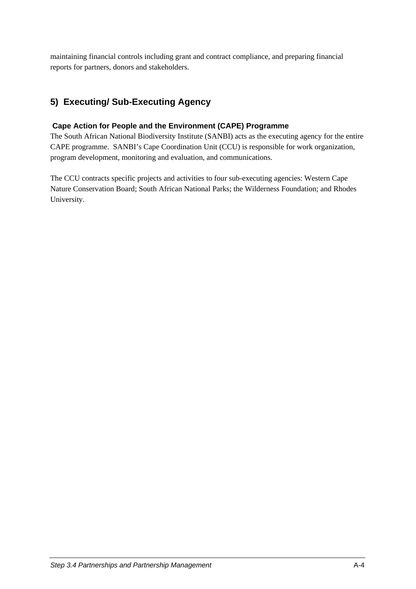<span id="page-17-0"></span>maintaining financial controls including grant and contract compliance, and preparing financial reports for partners, donors and stakeholders.

# **5) Executing/ Sub-Executing Agency**

#### **Cape Action for People and the Environment (CAPE) Programme**

The South African National Biodiversity Institute (SANBI) acts as the executing agency for the entire CAPE programme. SANBI's Cape Coordination Unit (CCU) is responsible for work organization, program development, monitoring and evaluation, and communications.

The CCU contracts specific projects and activities to four sub-executing agencies: Western Cape Nature Conservation Board; South African National Parks; the Wilderness Foundation; and Rhodes University.